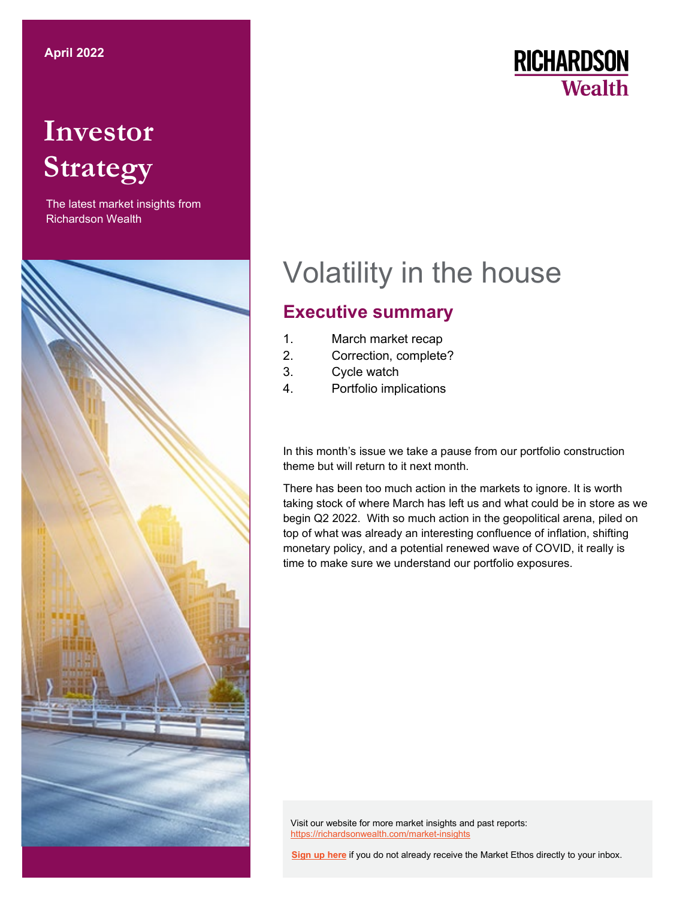# **Investor Strategy**

The latest market insights from Richardson Wealth



## **RICHARDSON Wealth**

# Volatility in the house

## **Executive summary**

- 1. March market recap
- 2. Correction, complete?
- 3. Cycle watch
- 4. Portfolio implications

In this month's issue we take a pause from our portfolio construction theme but will return to it next month.

There has been too much action in the markets to ignore. It is worth taking stock of where March has left us and what could be in store as we begin Q2 2022. With so much action in the geopolitical arena, piled on top of what was already an interesting confluence of inflation, shifting monetary policy, and a potential renewed wave of COVID, it really is time to make sure we understand our portfolio exposures.

Visit our website for more market insights and past reports: <https://richardsonwealth.com/market-insights>

**[Sign up here](https://surveys.campaignbreeze.com/s/9772617f4a874bcad89db07d66bb905669984b44)** if you do not already receive the Market Ethos directly to your inbox.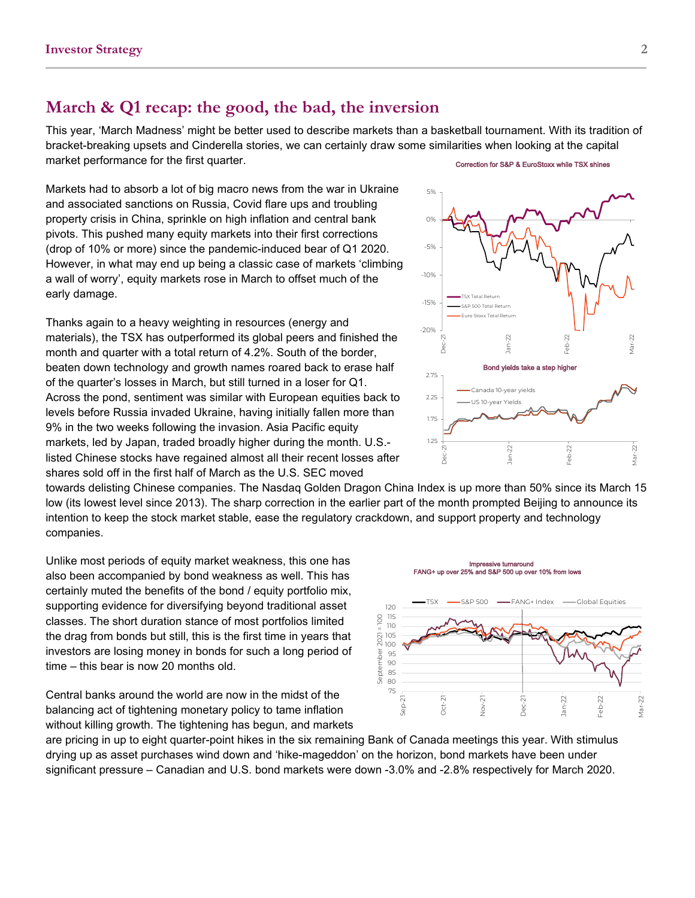## **March & Q1 recap: the good, the bad, the inversion**

This year, 'March Madness' might be better used to describe markets than a basketball tournament. With its tradition of bracket-breaking upsets and Cinderella stories, we can certainly draw some similarities when looking at the capital market performance for the first quarter.

Markets had to absorb a lot of big macro news from the war in Ukraine and associated sanctions on Russia, Covid flare ups and troubling property crisis in China, sprinkle on high inflation and central bank pivots. This pushed many equity markets into their first corrections (drop of 10% or more) since the pandemic-induced bear of Q1 2020. However, in what may end up being a classic case of markets 'climbing a wall of worry', equity markets rose in March to offset much of the early damage.

Thanks again to a heavy weighting in resources (energy and materials), the TSX has outperformed its global peers and finished the month and quarter with a total return of 4.2%. South of the border, beaten down technology and growth names roared back to erase half of the quarter's losses in March, but still turned in a loser for Q1. Across the pond, sentiment was similar with European equities back to levels before Russia invaded Ukraine, having initially fallen more than 9% in the two weeks following the invasion. Asia Pacific equity markets, led by Japan, traded broadly higher during the month. U.S. listed Chinese stocks have regained almost all their recent losses after shares sold off in the first half of March as the U.S. SEC moved



towards delisting Chinese companies. The Nasdaq Golden Dragon China Index is up more than 50% since its March 15 low (its lowest level since 2013). The sharp correction in the earlier part of the month prompted Beijing to announce its intention to keep the stock market stable, ease the regulatory crackdown, and support property and technology companies.

Unlike most periods of equity market weakness, this one has also been accompanied by bond weakness as well. This has certainly muted the benefits of the bond / equity portfolio mix, supporting evidence for diversifying beyond traditional asset classes. The short duration stance of most portfolios limited the drag from bonds but still, this is the first time in years that investors are losing money in bonds for such a long period of time – this bear is now 20 months old.

Central banks around the world are now in the midst of the balancing act of tightening monetary policy to tame inflation without killing growth. The tightening has begun, and markets

are pricing in up to eight quarter-point hikes in the six remaining Bank of Canada meetings this year. With stimulus drying up as asset purchases wind down and 'hike-mageddon' on the horizon, bond markets have been under significant pressure – Canadian and U.S. bond markets were down -3.0% and -2.8% respectively for March 2020.



#### Correction for S&P & EuroStoxx while TSX shines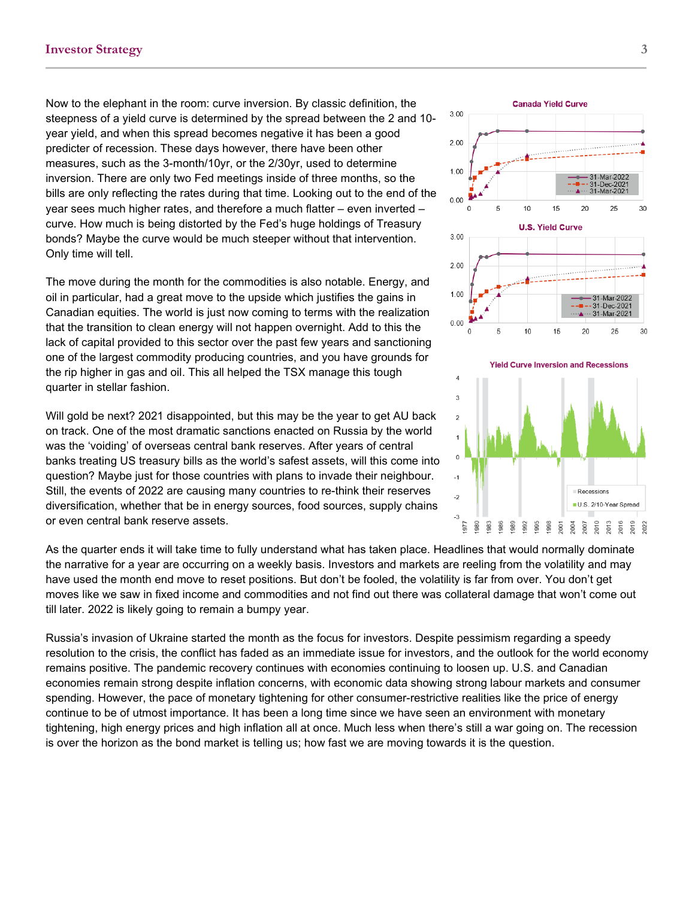Now to the elephant in the room: curve inversion. By classic definition, the steepness of a yield curve is determined by the spread between the 2 and 10 year yield, and when this spread becomes negative it has been a good predicter of recession. These days however, there have been other measures, such as the 3-month/10yr, or the 2/30yr, used to determine inversion. There are only two Fed meetings inside of three months, so the bills are only reflecting the rates during that time. Looking out to the end of the year sees much higher rates, and therefore a much flatter – even inverted – curve. How much is being distorted by the Fed's huge holdings of Treasury bonds? Maybe the curve would be much steeper without that intervention. Only time will tell.

The move during the month for the commodities is also notable. Energy, and oil in particular, had a great move to the upside which justifies the gains in Canadian equities. The world is just now coming to terms with the realization that the transition to clean energy will not happen overnight. Add to this the lack of capital provided to this sector over the past few years and sanctioning one of the largest commodity producing countries, and you have grounds for the rip higher in gas and oil. This all helped the TSX manage this tough quarter in stellar fashion.

Will gold be next? 2021 disappointed, but this may be the year to get AU back on track. One of the most dramatic sanctions enacted on Russia by the world was the 'voiding' of overseas central bank reserves. After years of central banks treating US treasury bills as the world's safest assets, will this come into question? Maybe just for those countries with plans to invade their neighbour. Still, the events of 2022 are causing many countries to re-think their reserves diversification, whether that be in energy sources, food sources, supply chains or even central bank reserve assets.

As the quarter ends it will take time to fully understand what has taken place. Headlines that would normally dominate the narrative for a year are occurring on a weekly basis. Investors and markets are reeling from the volatility and may have used the month end move to reset positions. But don't be fooled, the volatility is far from over. You don't get moves like we saw in fixed income and commodities and not find out there was collateral damage that won't come out till later. 2022 is likely going to remain a bumpy year.

Russia's invasion of Ukraine started the month as the focus for investors. Despite pessimism regarding a speedy resolution to the crisis, the conflict has faded as an immediate issue for investors, and the outlook for the world economy remains positive. The pandemic recovery continues with economies continuing to loosen up. U.S. and Canadian economies remain strong despite inflation concerns, with economic data showing strong labour markets and consumer spending. However, the pace of monetary tightening for other consumer-restrictive realities like the price of energy continue to be of utmost importance. It has been a long time since we have seen an environment with monetary tightening, high energy prices and high inflation all at once. Much less when there's still a war going on. The recession is over the horizon as the bond market is telling us; how fast we are moving towards it is the question.



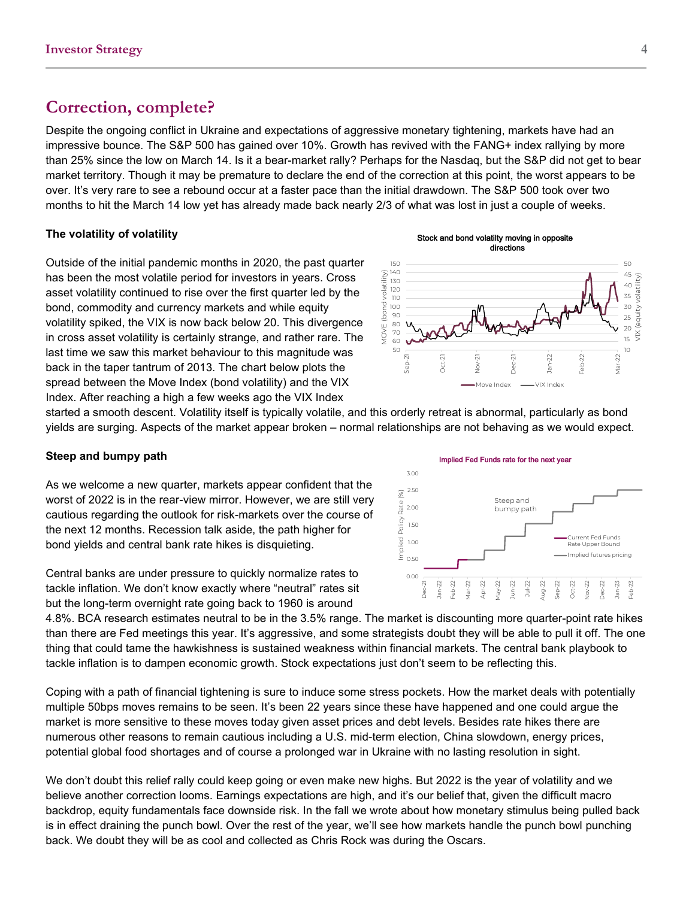## **Correction, complete?**

Despite the ongoing conflict in Ukraine and expectations of aggressive monetary tightening, markets have had an impressive bounce. The S&P 500 has gained over 10%. Growth has revived with the FANG+ index rallying by more than 25% since the low on March 14. Is it a bear-market rally? Perhaps for the Nasdaq, but the S&P did not get to bear market territory. Though it may be premature to declare the end of the correction at this point, the worst appears to be over. It's very rare to see a rebound occur at a faster pace than the initial drawdown. The S&P 500 took over two months to hit the March 14 low yet has already made back nearly 2/3 of what was lost in just a couple of weeks.

### **The volatility of volatility**

Outside of the initial pandemic months in 2020, the past quarter has been the most volatile period for investors in years. Cross asset volatility continued to rise over the first quarter led by the bond, commodity and currency markets and while equity volatility spiked, the VIX is now back below 20. This divergence in cross asset volatility is certainly strange, and rather rare. The last time we saw this market behaviour to this magnitude was back in the taper tantrum of 2013. The chart below plots the spread between the Move Index (bond volatility) and the VIX Index. After reaching a high a few weeks ago the VIX Index





started a smooth descent. Volatility itself is typically volatile, and this orderly retreat is abnormal, particularly as bond yields are surging. Aspects of the market appear broken – normal relationships are not behaving as we would expect.

### **Steep and bumpy path**

As we welcome a new quarter, markets appear confident that the worst of 2022 is in the rear-view mirror. However, we are still very cautious regarding the outlook for risk-markets over the course of the next 12 months. Recession talk aside, the path higher for bond yields and central bank rate hikes is disquieting.

Central banks are under pressure to quickly normalize rates to tackle inflation. We don't know exactly where "neutral" rates sit but the long-term overnight rate going back to 1960 is around

Implied Fed Funds rate for the next year 3.00 2.50  $(%)$ Implied Policy Rate (%) Steep and Rate 2.00 bumpy path mplied Policy 1.50 Current Fed Funds 1.00 Rate Upper Bound mplied futures pricing 0.50 0.00 Dec-21 Jan-22 Feb-22 Apr-22 May-22 Jun-22 Sep-22 Oct-22 Nov-22 Jan-23 Feb-23 Mar-22 Jul-22 Aug-22 Dec-22

4.8%. BCA research estimates neutral to be in the 3.5% range. The market is discounting more quarter-point rate hikes than there are Fed meetings this year. It's aggressive, and some strategists doubt they will be able to pull it off. The one thing that could tame the hawkishness is sustained weakness within financial markets. The central bank playbook to tackle inflation is to dampen economic growth. Stock expectations just don't seem to be reflecting this.

Coping with a path of financial tightening is sure to induce some stress pockets. How the market deals with potentially multiple 50bps moves remains to be seen. It's been 22 years since these have happened and one could argue the market is more sensitive to these moves today given asset prices and debt levels. Besides rate hikes there are numerous other reasons to remain cautious including a U.S. mid-term election, China slowdown, energy prices, potential global food shortages and of course a prolonged war in Ukraine with no lasting resolution in sight.

We don't doubt this relief rally could keep going or even make new highs. But 2022 is the year of volatility and we believe another correction looms. Earnings expectations are high, and it's our belief that, given the difficult macro backdrop, equity fundamentals face downside risk. In the fall we wrote about how monetary stimulus being pulled back is in effect draining the punch bowl. Over the rest of the year, we'll see how markets handle the punch bowl punching back. We doubt they will be as cool and collected as Chris Rock was during the Oscars.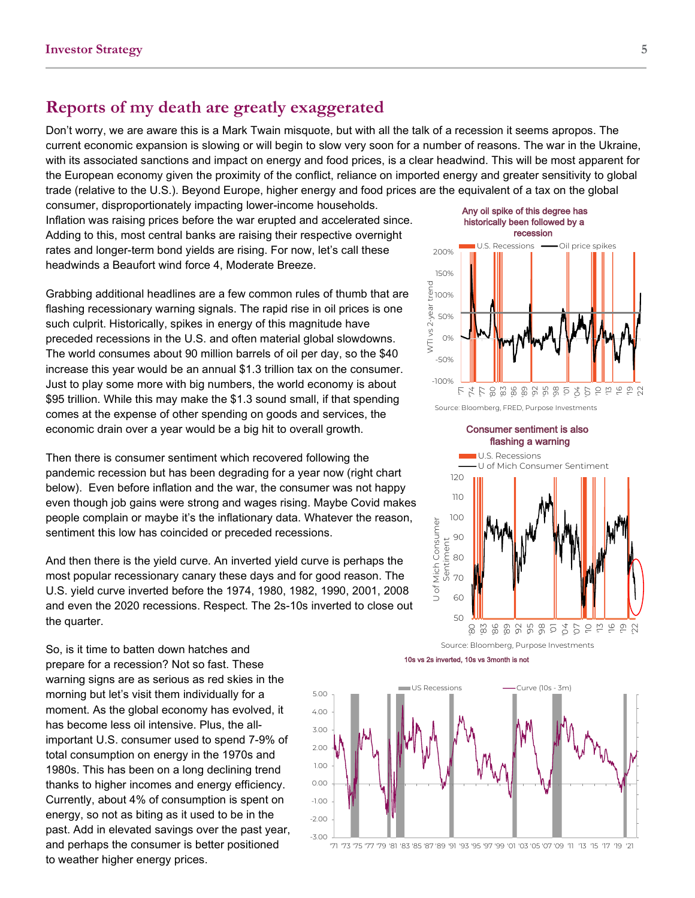## **Reports of my death are greatly exaggerated**

Don't worry, we are aware this is a Mark Twain misquote, but with all the talk of a recession it seems apropos. The current economic expansion is slowing or will begin to slow very soon for a number of reasons. The war in the Ukraine, with its associated sanctions and impact on energy and food prices, is a clear headwind. This will be most apparent for the European economy given the proximity of the conflict, reliance on imported energy and greater sensitivity to global trade (relative to the U.S.). Beyond Europe, higher energy and food prices are the equivalent of a tax on the global

consumer, disproportionately impacting lower-income households. Inflation was raising prices before the war erupted and accelerated since. Adding to this, most central banks are raising their respective overnight rates and longer-term bond yields are rising. For now, let's call these headwinds a Beaufort wind force 4, Moderate Breeze.

Grabbing additional headlines are a few common rules of thumb that are flashing recessionary warning signals. The rapid rise in oil prices is one such culprit. Historically, spikes in energy of this magnitude have preceded recessions in the U.S. and often material global slowdowns. The world consumes about 90 million barrels of oil per day, so the \$40 increase this year would be an annual \$1.3 trillion tax on the consumer. Just to play some more with big numbers, the world economy is about \$95 trillion. While this may make the \$1.3 sound small, if that spending comes at the expense of other spending on goods and services, the economic drain over a year would be a big hit to overall growth.

Then there is consumer sentiment which recovered following the pandemic recession but has been degrading for a year now (right chart below). Even before inflation and the war, the consumer was not happy even though job gains were strong and wages rising. Maybe Covid makes people complain or maybe it's the inflationary data. Whatever the reason, sentiment this low has coincided or preceded recessions.

And then there is the yield curve. An inverted yield curve is perhaps the most popular recessionary canary these days and for good reason. The U.S. yield curve inverted before the 1974, 1980, 1982, 1990, 2001, 2008 and even the 2020 recessions. Respect. The 2s-10s inverted to close out the quarter.

So, is it time to batten down hatches and prepare for a recession? Not so fast. These warning signs are as serious as red skies in the morning but let's visit them individually for a moment. As the global economy has evolved, it has become less oil intensive. Plus, the allimportant U.S. consumer used to spend 7-9% of total consumption on energy in the 1970s and 1980s. This has been on a long declining trend thanks to higher incomes and energy efficiency. Currently, about 4% of consumption is spent on energy, so not as biting as it used to be in the past. Add in elevated savings over the past year, and perhaps the consumer is better positioned to weather higher energy prices.

#### 10s vs 2s inverted, 10s vs 3month is not







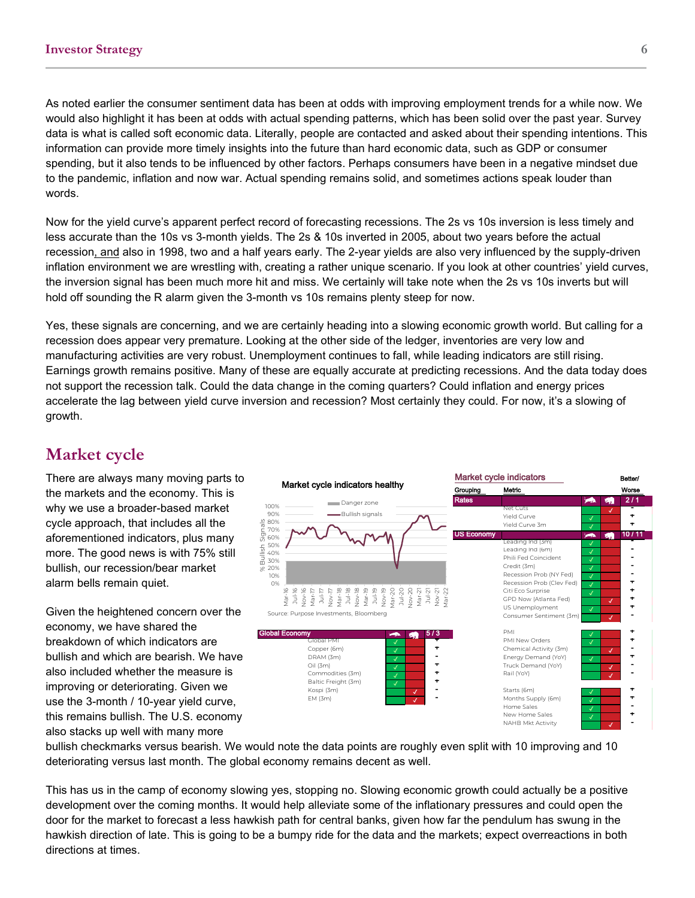As noted earlier the consumer sentiment data has been at odds with improving employment trends for a while now. We would also highlight it has been at odds with actual spending patterns, which has been solid over the past year. Survey data is what is called soft economic data. Literally, people are contacted and asked about their spending intentions. This information can provide more timely insights into the future than hard economic data, such as GDP or consumer spending, but it also tends to be influenced by other factors. Perhaps consumers have been in a negative mindset due to the pandemic, inflation and now war. Actual spending remains solid, and sometimes actions speak louder than words.

Now for the yield curve's apparent perfect record of forecasting recessions. The 2s vs 10s inversion is less timely and less accurate than the 10s vs 3-month yields. The 2s & 10s inverted in 2005, about two years before the actual recession, and also in 1998, two and a half years early. The 2-year yields are also very influenced by the supply-driven inflation environment we are wrestling with, creating a rather unique scenario. If you look at other countries' yield curves, the inversion signal has been much more hit and miss. We certainly will take note when the 2s vs 10s inverts but will hold off sounding the R alarm given the 3-month vs 10s remains plenty steep for now.

Yes, these signals are concerning, and we are certainly heading into a slowing economic growth world. But calling for a recession does appear very premature. Looking at the other side of the ledger, inventories are very low and manufacturing activities are very robust. Unemployment continues to fall, while leading indicators are still rising. Earnings growth remains positive. Many of these are equally accurate at predicting recessions. And the data today does not support the recession talk. Could the data change in the coming quarters? Could inflation and energy prices accelerate the lag between yield curve inversion and recession? Most certainly they could. For now, it's a slowing of growth.

## **Market cycle**

There are always many moving parts to the markets and the economy. This is why we use a broader-based market cycle approach, that includes all the aforementioned indicators, plus many more. The good news is with 75% still bullish, our recession/bear market alarm bells remain quiet.

Given the heightened concern over the economy, we have shared the breakdown of which indicators are bullish and which are bearish. We have also included whether the measure is improving or deteriorating. Given we use the 3-month / 10-year yield curve, this remains bullish. The U.S. economy also stacks up well with many more



bullish checkmarks versus bearish. We would note the data points are roughly even split with 10 improving and 10 deteriorating versus last month. The global economy remains decent as well.

This has us in the camp of economy slowing yes, stopping no. Slowing economic growth could actually be a positive development over the coming months. It would help alleviate some of the inflationary pressures and could open the door for the market to forecast a less hawkish path for central banks, given how far the pendulum has swung in the hawkish direction of late. This is going to be a bumpy ride for the data and the markets; expect overreactions in both directions at times.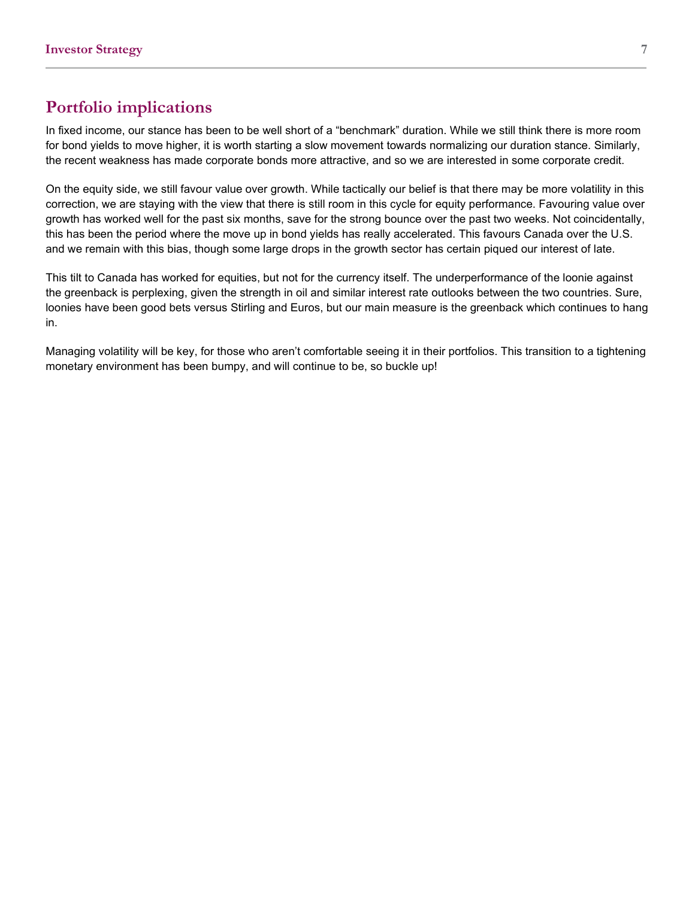## **Portfolio implications**

In fixed income, our stance has been to be well short of a "benchmark" duration. While we still think there is more room for bond yields to move higher, it is worth starting a slow movement towards normalizing our duration stance. Similarly, the recent weakness has made corporate bonds more attractive, and so we are interested in some corporate credit.

On the equity side, we still favour value over growth. While tactically our belief is that there may be more volatility in this correction, we are staying with the view that there is still room in this cycle for equity performance. Favouring value over growth has worked well for the past six months, save for the strong bounce over the past two weeks. Not coincidentally, this has been the period where the move up in bond yields has really accelerated. This favours Canada over the U.S. and we remain with this bias, though some large drops in the growth sector has certain piqued our interest of late.

This tilt to Canada has worked for equities, but not for the currency itself. The underperformance of the loonie against the greenback is perplexing, given the strength in oil and similar interest rate outlooks between the two countries. Sure, loonies have been good bets versus Stirling and Euros, but our main measure is the greenback which continues to hang in.

Managing volatility will be key, for those who aren't comfortable seeing it in their portfolios. This transition to a tightening monetary environment has been bumpy, and will continue to be, so buckle up!